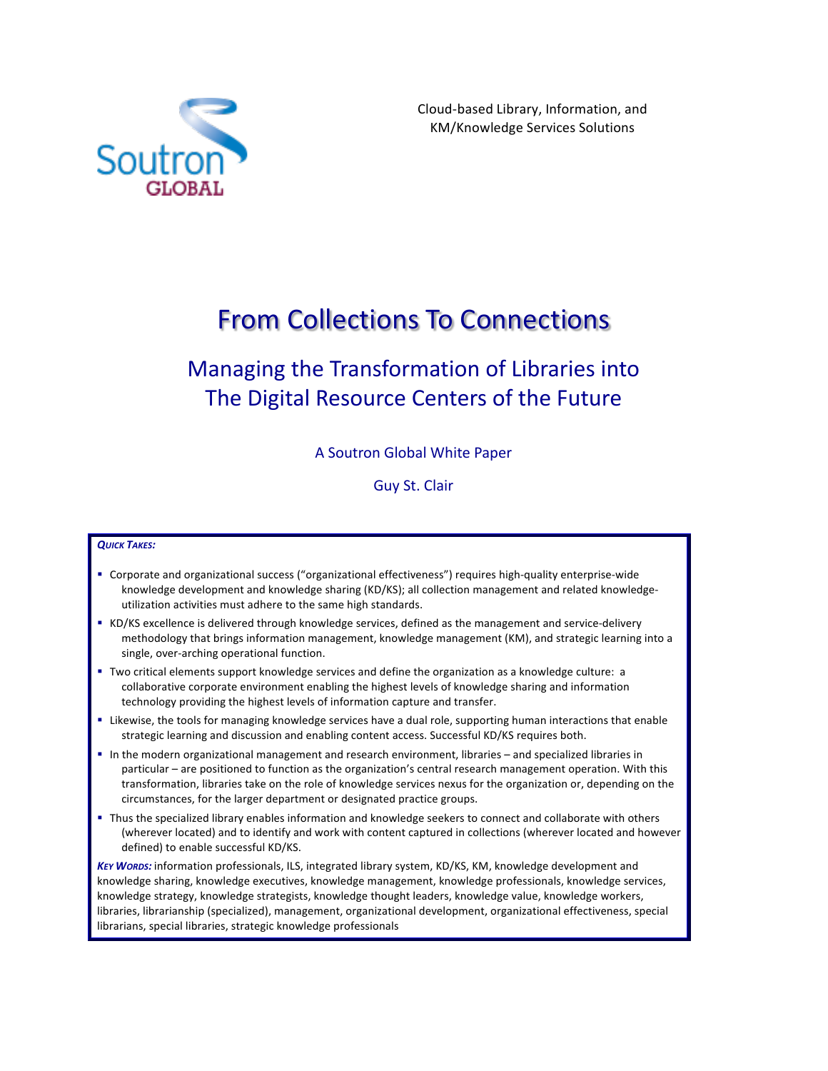

Cloud-based Library, Information, and KM/Knowledge Services Solutions

## **From Collections To Connections**

## Managing the Transformation of Libraries into The Digital Resource Centers of the Future

## A Soutron Global White Paper

Guy St. Clair

## *QUICK TAKES:*

- Corporate and organizational success ("organizational effectiveness") requires high-quality enterprise-wide knowledge development and knowledge sharing (KD/KS); all collection management and related knowledgeutilization activities must adhere to the same high standards.
- KD/KS excellence is delivered through knowledge services, defined as the management and service-delivery methodology that brings information management, knowledge management (KM), and strategic learning into a single, over-arching operational function.
- Two critical elements support knowledge services and define the organization as a knowledge culture: a collaborative corporate environment enabling the highest levels of knowledge sharing and information technology providing the highest levels of information capture and transfer.
- Likewise, the tools for managing knowledge services have a dual role, supporting human interactions that enable strategic learning and discussion and enabling content access. Successful KD/KS requires both.
- In the modern organizational management and research environment, libraries and specialized libraries in particular – are positioned to function as the organization's central research management operation. With this transformation, libraries take on the role of knowledge services nexus for the organization or, depending on the circumstances, for the larger department or designated practice groups.
- Thus the specialized library enables information and knowledge seekers to connect and collaborate with others (wherever located) and to identify and work with content captured in collections (wherever located and however defined) to enable successful KD/KS.

KEY WORDS: information professionals, ILS, integrated library system, KD/KS, KM, knowledge development and knowledge sharing, knowledge executives, knowledge management, knowledge professionals, knowledge services, knowledge strategy, knowledge strategists, knowledge thought leaders, knowledge value, knowledge workers, libraries, librarianship (specialized), management, organizational development, organizational effectiveness, special librarians, special libraries, strategic knowledge professionals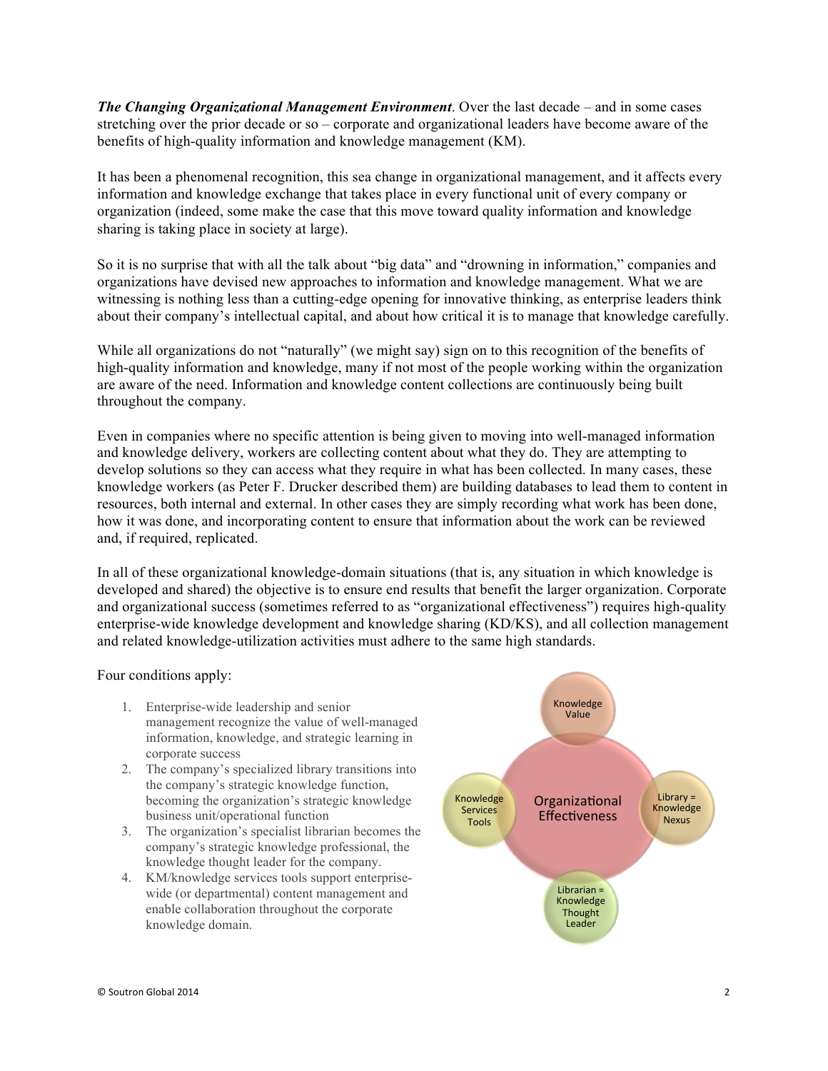*The Changing Organizational Management Environment*. Over the last decade – and in some cases stretching over the prior decade or so – corporate and organizational leaders have become aware of the benefits of high-quality information and knowledge management (KM).

It has been a phenomenal recognition, this sea change in organizational management, and it affects every information and knowledge exchange that takes place in every functional unit of every company or organization (indeed, some make the case that this move toward quality information and knowledge sharing is taking place in society at large).

So it is no surprise that with all the talk about "big data" and "drowning in information," companies and organizations have devised new approaches to information and knowledge management. What we are witnessing is nothing less than a cutting-edge opening for innovative thinking, as enterprise leaders think about their company's intellectual capital, and about how critical it is to manage that knowledge carefully.

While all organizations do not "naturally" (we might say) sign on to this recognition of the benefits of high-quality information and knowledge, many if not most of the people working within the organization are aware of the need. Information and knowledge content collections are continuously being built throughout the company.

Even in companies where no specific attention is being given to moving into well-managed information and knowledge delivery, workers are collecting content about what they do. They are attempting to develop solutions so they can access what they require in what has been collected. In many cases, these knowledge workers (as Peter F. Drucker described them) are building databases to lead them to content in resources, both internal and external. In other cases they are simply recording what work has been done, how it was done, and incorporating content to ensure that information about the work can be reviewed and, if required, replicated.

In all of these organizational knowledge-domain situations (that is, any situation in which knowledge is developed and shared) the objective is to ensure end results that benefit the larger organization. Corporate and organizational success (sometimes referred to as "organizational effectiveness") requires high-quality enterprise-wide knowledge development and knowledge sharing (KD/KS), and all collection management and related knowledge-utilization activities must adhere to the same high standards.

Four conditions apply:

- 1. Enterprise-wide leadership and senior management recognize the value of well-managed information, knowledge, and strategic learning in corporate success
- 2. The company's specialized library transitions into the company's strategic knowledge function, becoming the organization's strategic knowledge business unit/operational function
- 3. The organization's specialist librarian becomes the company's strategic knowledge professional, the knowledge thought leader for the company.
- 4. KM/knowledge services tools support enterprisewide (or departmental) content management and enable collaboration throughout the corporate knowledge domain.

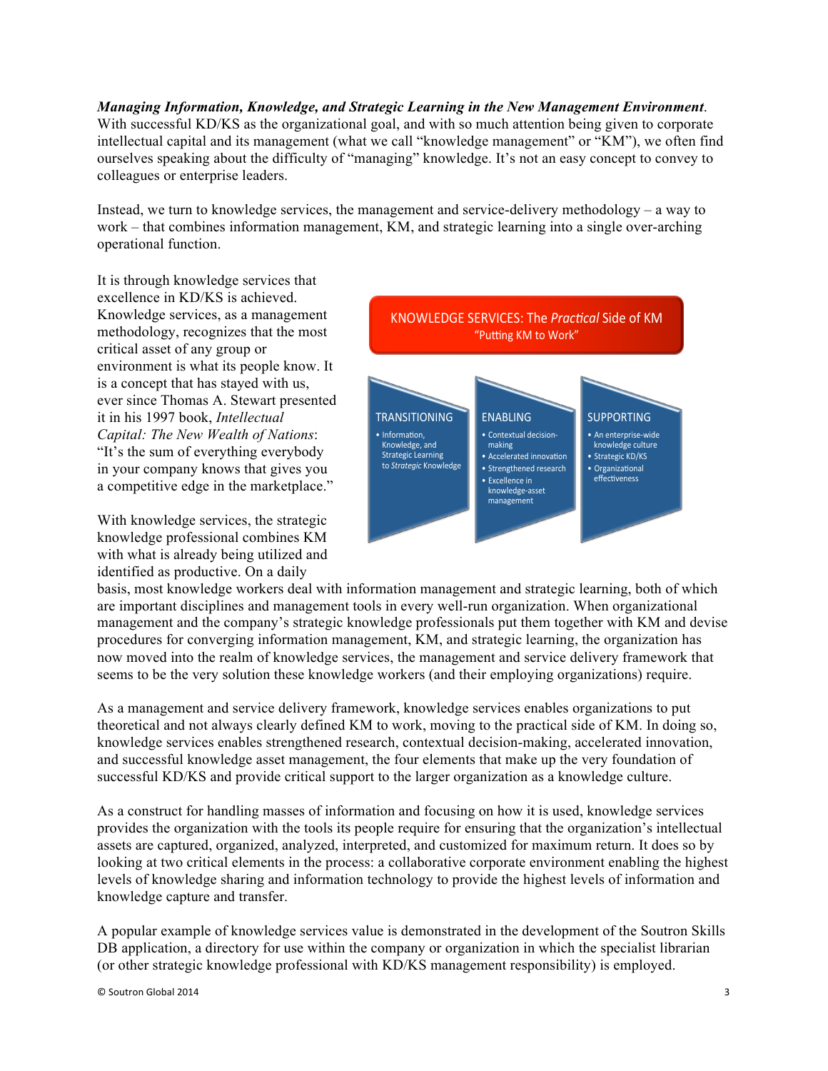*Managing Information, Knowledge, and Strategic Learning in the New Management Environment*. With successful KD/KS as the organizational goal, and with so much attention being given to corporate intellectual capital and its management (what we call "knowledge management" or "KM"), we often find ourselves speaking about the difficulty of "managing" knowledge. It's not an easy concept to convey to colleagues or enterprise leaders.

Instead, we turn to knowledge services, the management and service-delivery methodology – a way to work – that combines information management, KM, and strategic learning into a single over-arching operational function.

It is through knowledge services that excellence in KD/KS is achieved. Knowledge services, as a management methodology, recognizes that the most critical asset of any group or environment is what its people know. It is a concept that has stayed with us, ever since Thomas A. Stewart presented it in his 1997 book, *Intellectual Capital: The New Wealth of Nations*: "It's the sum of everything everybody in your company knows that gives you a competitive edge in the marketplace."

With knowledge services, the strategic knowledge professional combines KM with what is already being utilized and identified as productive. On a daily



basis, most knowledge workers deal with information management and strategic learning, both of which are important disciplines and management tools in every well-run organization. When organizational management and the company's strategic knowledge professionals put them together with KM and devise procedures for converging information management, KM, and strategic learning, the organization has now moved into the realm of knowledge services, the management and service delivery framework that seems to be the very solution these knowledge workers (and their employing organizations) require.

As a management and service delivery framework, knowledge services enables organizations to put theoretical and not always clearly defined KM to work, moving to the practical side of KM. In doing so, knowledge services enables strengthened research, contextual decision-making, accelerated innovation, and successful knowledge asset management, the four elements that make up the very foundation of successful KD/KS and provide critical support to the larger organization as a knowledge culture.

As a construct for handling masses of information and focusing on how it is used, knowledge services provides the organization with the tools its people require for ensuring that the organization's intellectual assets are captured, organized, analyzed, interpreted, and customized for maximum return. It does so by looking at two critical elements in the process: a collaborative corporate environment enabling the highest levels of knowledge sharing and information technology to provide the highest levels of information and knowledge capture and transfer.

A popular example of knowledge services value is demonstrated in the development of the Soutron Skills DB application, a directory for use within the company or organization in which the specialist librarian (or other strategic knowledge professional with KD/KS management responsibility) is employed.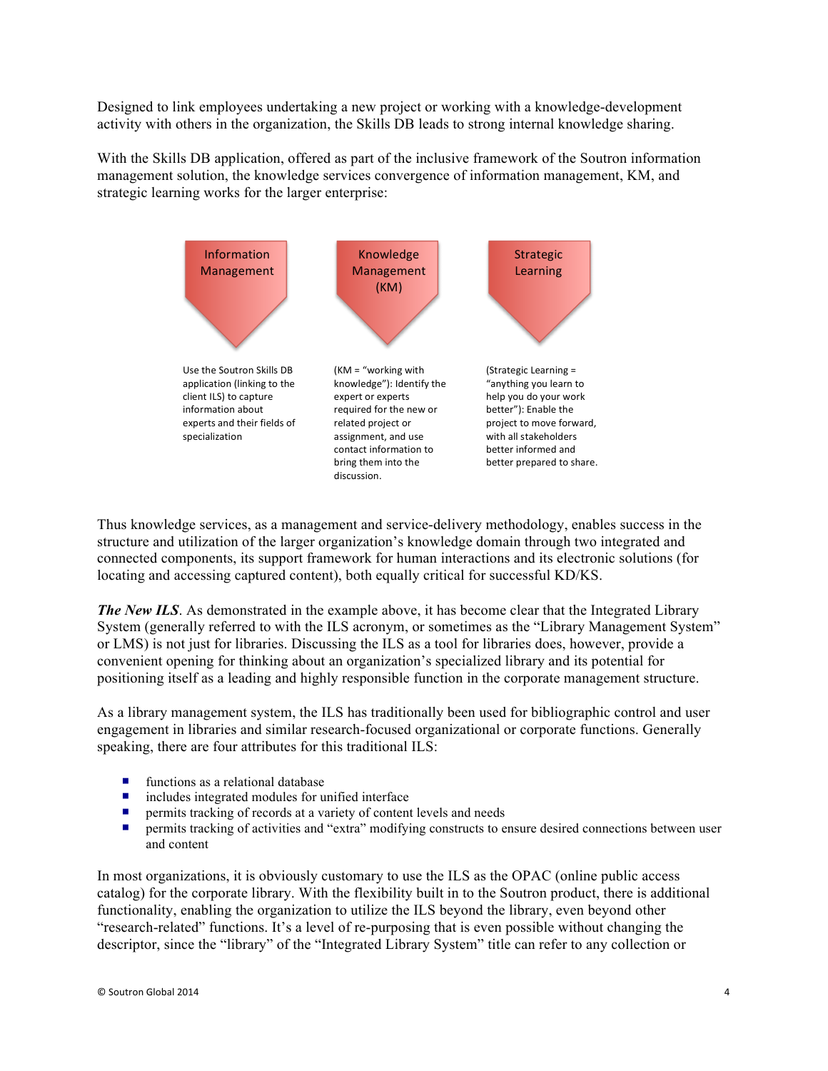Designed to link employees undertaking a new project or working with a knowledge-development activity with others in the organization, the Skills DB leads to strong internal knowledge sharing.

With the Skills DB application, offered as part of the inclusive framework of the Soutron information management solution, the knowledge services convergence of information management, KM, and strategic learning works for the larger enterprise:



Thus knowledge services, as a management and service-delivery methodology, enables success in the structure and utilization of the larger organization's knowledge domain through two integrated and connected components, its support framework for human interactions and its electronic solutions (for locating and accessing captured content), both equally critical for successful KD/KS.

*The New ILS.* As demonstrated in the example above, it has become clear that the Integrated Library System (generally referred to with the ILS acronym, or sometimes as the "Library Management System" or LMS) is not just for libraries. Discussing the ILS as a tool for libraries does, however, provide a convenient opening for thinking about an organization's specialized library and its potential for positioning itself as a leading and highly responsible function in the corporate management structure.

As a library management system, the ILS has traditionally been used for bibliographic control and user engagement in libraries and similar research-focused organizational or corporate functions. Generally speaking, there are four attributes for this traditional ILS:

- $\blacksquare$  functions as a relational database
- $\blacksquare$  includes integrated modules for unified interface
- $\blacksquare$  permits tracking of records at a variety of content levels and needs
- **•** permits tracking of activities and "extra" modifying constructs to ensure desired connections between user and content

In most organizations, it is obviously customary to use the ILS as the OPAC (online public access catalog) for the corporate library. With the flexibility built in to the Soutron product, there is additional functionality, enabling the organization to utilize the ILS beyond the library, even beyond other "research-related" functions. It's a level of re-purposing that is even possible without changing the descriptor, since the "library" of the "Integrated Library System" title can refer to any collection or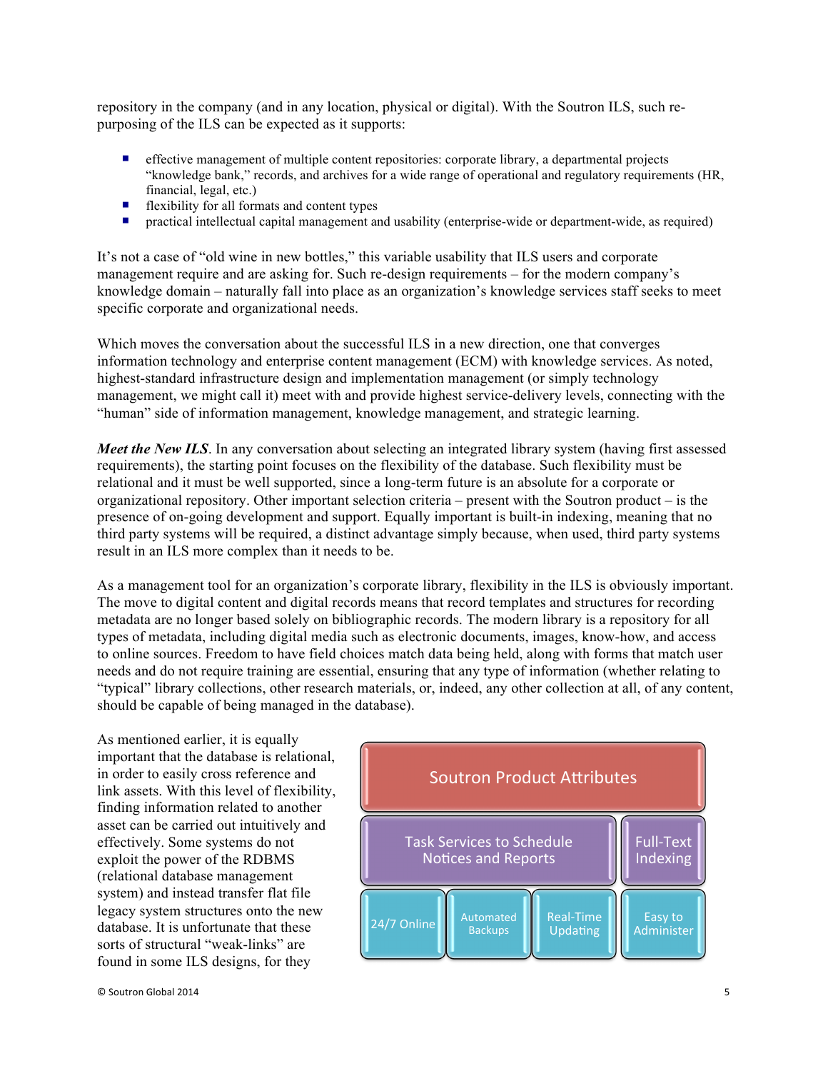repository in the company (and in any location, physical or digital). With the Soutron ILS, such repurposing of the ILS can be expected as it supports:

- ¡ effective management of multiple content repositories: corporate library, a departmental projects "knowledge bank," records, and archives for a wide range of operational and regulatory requirements (HR, financial, legal, etc.)
- $\blacksquare$  flexibility for all formats and content types
- practical intellectual capital management and usability (enterprise-wide or department-wide, as required)

It's not a case of "old wine in new bottles," this variable usability that ILS users and corporate management require and are asking for. Such re-design requirements – for the modern company's knowledge domain – naturally fall into place as an organization's knowledge services staff seeks to meet specific corporate and organizational needs.

Which moves the conversation about the successful ILS in a new direction, one that converges information technology and enterprise content management (ECM) with knowledge services. As noted, highest-standard infrastructure design and implementation management (or simply technology management, we might call it) meet with and provide highest service-delivery levels, connecting with the "human" side of information management, knowledge management, and strategic learning.

*Meet the New ILS*. In any conversation about selecting an integrated library system (having first assessed requirements), the starting point focuses on the flexibility of the database. Such flexibility must be relational and it must be well supported, since a long-term future is an absolute for a corporate or organizational repository. Other important selection criteria – present with the Soutron product – is the presence of on-going development and support. Equally important is built-in indexing, meaning that no third party systems will be required, a distinct advantage simply because, when used, third party systems result in an ILS more complex than it needs to be.

As a management tool for an organization's corporate library, flexibility in the ILS is obviously important. The move to digital content and digital records means that record templates and structures for recording metadata are no longer based solely on bibliographic records. The modern library is a repository for all types of metadata, including digital media such as electronic documents, images, know-how, and access to online sources. Freedom to have field choices match data being held, along with forms that match user needs and do not require training are essential, ensuring that any type of information (whether relating to "typical" library collections, other research materials, or, indeed, any other collection at all, of any content, should be capable of being managed in the database).

As mentioned earlier, it is equally important that the database is relational, in order to easily cross reference and link assets. With this level of flexibility, finding information related to another asset can be carried out intuitively and effectively. Some systems do not exploit the power of the RDBMS (relational database management system) and instead transfer flat file legacy system structures onto the new database. It is unfortunate that these sorts of structural "weak-links" are found in some ILS designs, for they

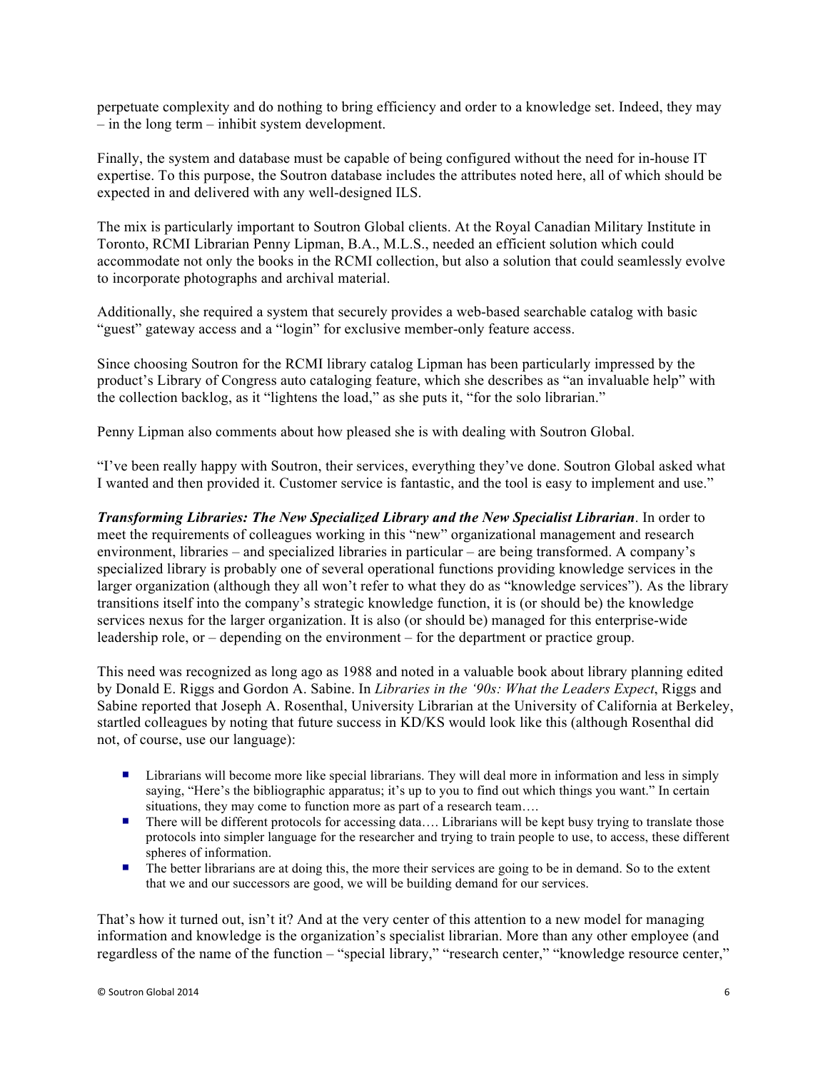perpetuate complexity and do nothing to bring efficiency and order to a knowledge set. Indeed, they may – in the long term – inhibit system development.

Finally, the system and database must be capable of being configured without the need for in-house IT expertise. To this purpose, the Soutron database includes the attributes noted here, all of which should be expected in and delivered with any well-designed ILS.

The mix is particularly important to Soutron Global clients. At the Royal Canadian Military Institute in Toronto, RCMI Librarian Penny Lipman, B.A., M.L.S., needed an efficient solution which could accommodate not only the books in the RCMI collection, but also a solution that could seamlessly evolve to incorporate photographs and archival material.

Additionally, she required a system that securely provides a web-based searchable catalog with basic "guest" gateway access and a "login" for exclusive member-only feature access.

Since choosing Soutron for the RCMI library catalog Lipman has been particularly impressed by the product's Library of Congress auto cataloging feature, which she describes as "an invaluable help" with the collection backlog, as it "lightens the load," as she puts it, "for the solo librarian."

Penny Lipman also comments about how pleased she is with dealing with Soutron Global.

"I've been really happy with Soutron, their services, everything they've done. Soutron Global asked what I wanted and then provided it. Customer service is fantastic, and the tool is easy to implement and use."

*Transforming Libraries: The New Specialized Library and the New Specialist Librarian*. In order to meet the requirements of colleagues working in this "new" organizational management and research environment, libraries – and specialized libraries in particular – are being transformed. A company's specialized library is probably one of several operational functions providing knowledge services in the larger organization (although they all won't refer to what they do as "knowledge services"). As the library transitions itself into the company's strategic knowledge function, it is (or should be) the knowledge services nexus for the larger organization. It is also (or should be) managed for this enterprise-wide leadership role, or – depending on the environment – for the department or practice group.

This need was recognized as long ago as 1988 and noted in a valuable book about library planning edited by Donald E. Riggs and Gordon A. Sabine. In *Libraries in the '90s: What the Leaders Expect*, Riggs and Sabine reported that Joseph A. Rosenthal, University Librarian at the University of California at Berkeley, startled colleagues by noting that future success in KD/KS would look like this (although Rosenthal did not, of course, use our language):

- ¡ Librarians will become more like special librarians. They will deal more in information and less in simply saying, "Here's the bibliographic apparatus; it's up to you to find out which things you want." In certain situations, they may come to function more as part of a research team....
- There will be different protocols for accessing data…. Librarians will be kept busy trying to translate those protocols into simpler language for the researcher and trying to train people to use, to access, these different spheres of information.
- The better librarians are at doing this, the more their services are going to be in demand. So to the extent that we and our successors are good, we will be building demand for our services.

That's how it turned out, isn't it? And at the very center of this attention to a new model for managing information and knowledge is the organization's specialist librarian. More than any other employee (and regardless of the name of the function – "special library," "research center," "knowledge resource center,"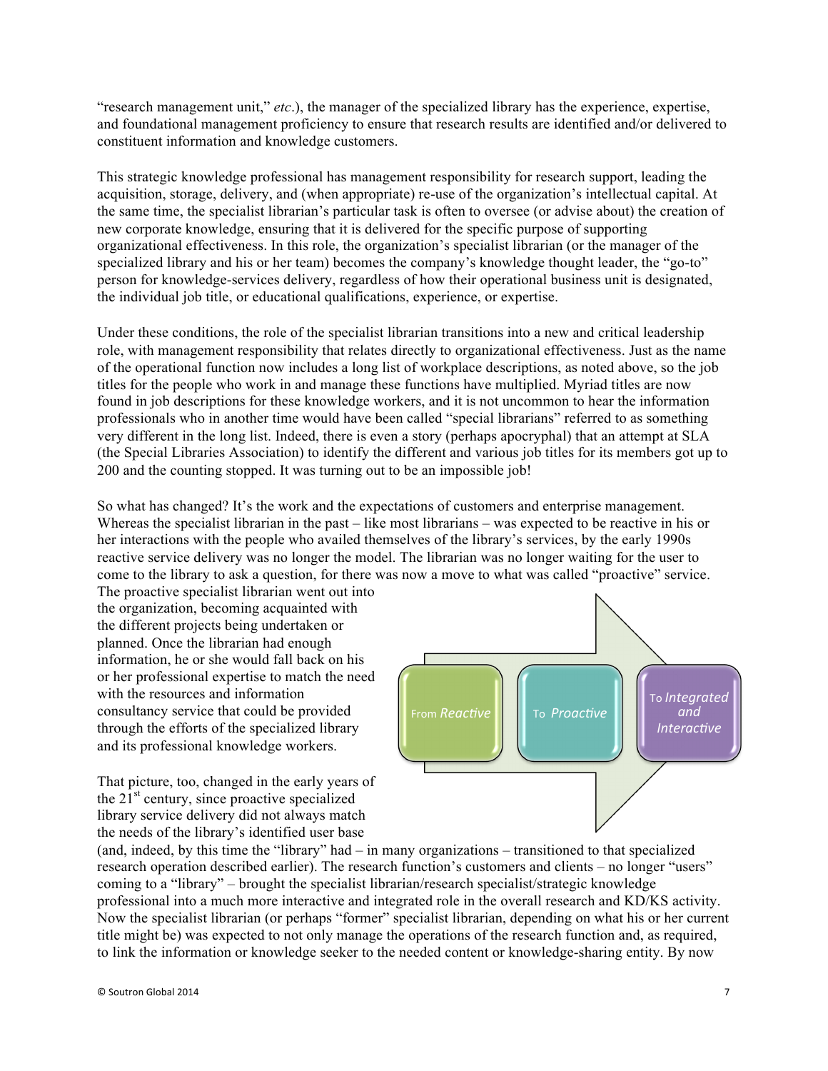"research management unit," *etc*.), the manager of the specialized library has the experience, expertise, and foundational management proficiency to ensure that research results are identified and/or delivered to constituent information and knowledge customers.

This strategic knowledge professional has management responsibility for research support, leading the acquisition, storage, delivery, and (when appropriate) re-use of the organization's intellectual capital. At the same time, the specialist librarian's particular task is often to oversee (or advise about) the creation of new corporate knowledge, ensuring that it is delivered for the specific purpose of supporting organizational effectiveness. In this role, the organization's specialist librarian (or the manager of the specialized library and his or her team) becomes the company's knowledge thought leader, the "go-to" person for knowledge-services delivery, regardless of how their operational business unit is designated, the individual job title, or educational qualifications, experience, or expertise.

Under these conditions, the role of the specialist librarian transitions into a new and critical leadership role, with management responsibility that relates directly to organizational effectiveness. Just as the name of the operational function now includes a long list of workplace descriptions, as noted above, so the job titles for the people who work in and manage these functions have multiplied. Myriad titles are now found in job descriptions for these knowledge workers, and it is not uncommon to hear the information professionals who in another time would have been called "special librarians" referred to as something very different in the long list. Indeed, there is even a story (perhaps apocryphal) that an attempt at SLA (the Special Libraries Association) to identify the different and various job titles for its members got up to 200 and the counting stopped. It was turning out to be an impossible job!

So what has changed? It's the work and the expectations of customers and enterprise management. Whereas the specialist librarian in the past – like most librarians – was expected to be reactive in his or her interactions with the people who availed themselves of the library's services, by the early 1990s reactive service delivery was no longer the model. The librarian was no longer waiting for the user to come to the library to ask a question, for there was now a move to what was called "proactive" service.

The proactive specialist librarian went out into the organization, becoming acquainted with the different projects being undertaken or planned. Once the librarian had enough information, he or she would fall back on his or her professional expertise to match the need with the resources and information consultancy service that could be provided through the efforts of the specialized library and its professional knowledge workers.

That picture, too, changed in the early years of the  $21<sup>st</sup>$  century, since proactive specialized library service delivery did not always match the needs of the library's identified user base



(and, indeed, by this time the "library" had – in many organizations – transitioned to that specialized research operation described earlier). The research function's customers and clients – no longer "users" coming to a "library" – brought the specialist librarian/research specialist/strategic knowledge professional into a much more interactive and integrated role in the overall research and KD/KS activity. Now the specialist librarian (or perhaps "former" specialist librarian, depending on what his or her current title might be) was expected to not only manage the operations of the research function and, as required, to link the information or knowledge seeker to the needed content or knowledge-sharing entity. By now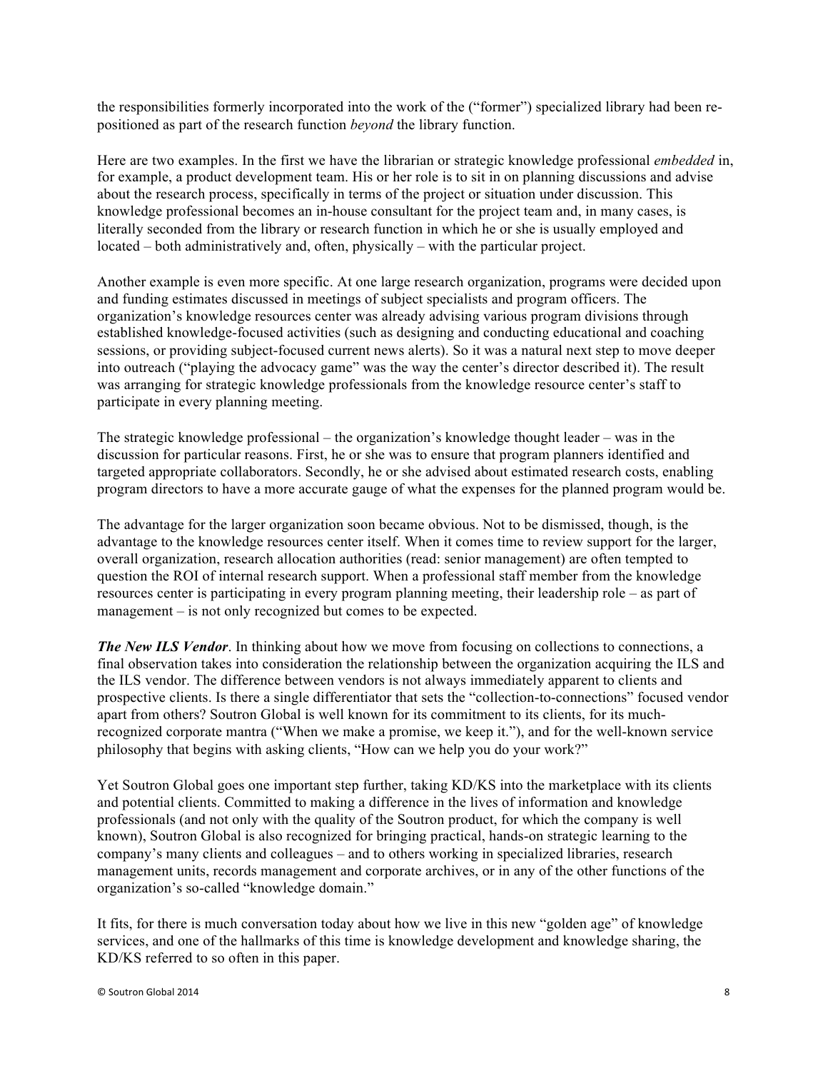the responsibilities formerly incorporated into the work of the ("former") specialized library had been repositioned as part of the research function *beyond* the library function.

Here are two examples. In the first we have the librarian or strategic knowledge professional *embedded* in, for example, a product development team. His or her role is to sit in on planning discussions and advise about the research process, specifically in terms of the project or situation under discussion. This knowledge professional becomes an in-house consultant for the project team and, in many cases, is literally seconded from the library or research function in which he or she is usually employed and located – both administratively and, often, physically – with the particular project.

Another example is even more specific. At one large research organization, programs were decided upon and funding estimates discussed in meetings of subject specialists and program officers. The organization's knowledge resources center was already advising various program divisions through established knowledge-focused activities (such as designing and conducting educational and coaching sessions, or providing subject-focused current news alerts). So it was a natural next step to move deeper into outreach ("playing the advocacy game" was the way the center's director described it). The result was arranging for strategic knowledge professionals from the knowledge resource center's staff to participate in every planning meeting.

The strategic knowledge professional – the organization's knowledge thought leader – was in the discussion for particular reasons. First, he or she was to ensure that program planners identified and targeted appropriate collaborators. Secondly, he or she advised about estimated research costs, enabling program directors to have a more accurate gauge of what the expenses for the planned program would be.

The advantage for the larger organization soon became obvious. Not to be dismissed, though, is the advantage to the knowledge resources center itself. When it comes time to review support for the larger, overall organization, research allocation authorities (read: senior management) are often tempted to question the ROI of internal research support. When a professional staff member from the knowledge resources center is participating in every program planning meeting, their leadership role – as part of management – is not only recognized but comes to be expected.

*The New ILS Vendor.* In thinking about how we move from focusing on collections to connections, a final observation takes into consideration the relationship between the organization acquiring the ILS and the ILS vendor. The difference between vendors is not always immediately apparent to clients and prospective clients. Is there a single differentiator that sets the "collection-to-connections" focused vendor apart from others? Soutron Global is well known for its commitment to its clients, for its muchrecognized corporate mantra ("When we make a promise, we keep it."), and for the well-known service philosophy that begins with asking clients, "How can we help you do your work?"

Yet Soutron Global goes one important step further, taking KD/KS into the marketplace with its clients and potential clients. Committed to making a difference in the lives of information and knowledge professionals (and not only with the quality of the Soutron product, for which the company is well known), Soutron Global is also recognized for bringing practical, hands-on strategic learning to the company's many clients and colleagues – and to others working in specialized libraries, research management units, records management and corporate archives, or in any of the other functions of the organization's so-called "knowledge domain."

It fits, for there is much conversation today about how we live in this new "golden age" of knowledge services, and one of the hallmarks of this time is knowledge development and knowledge sharing, the KD/KS referred to so often in this paper.